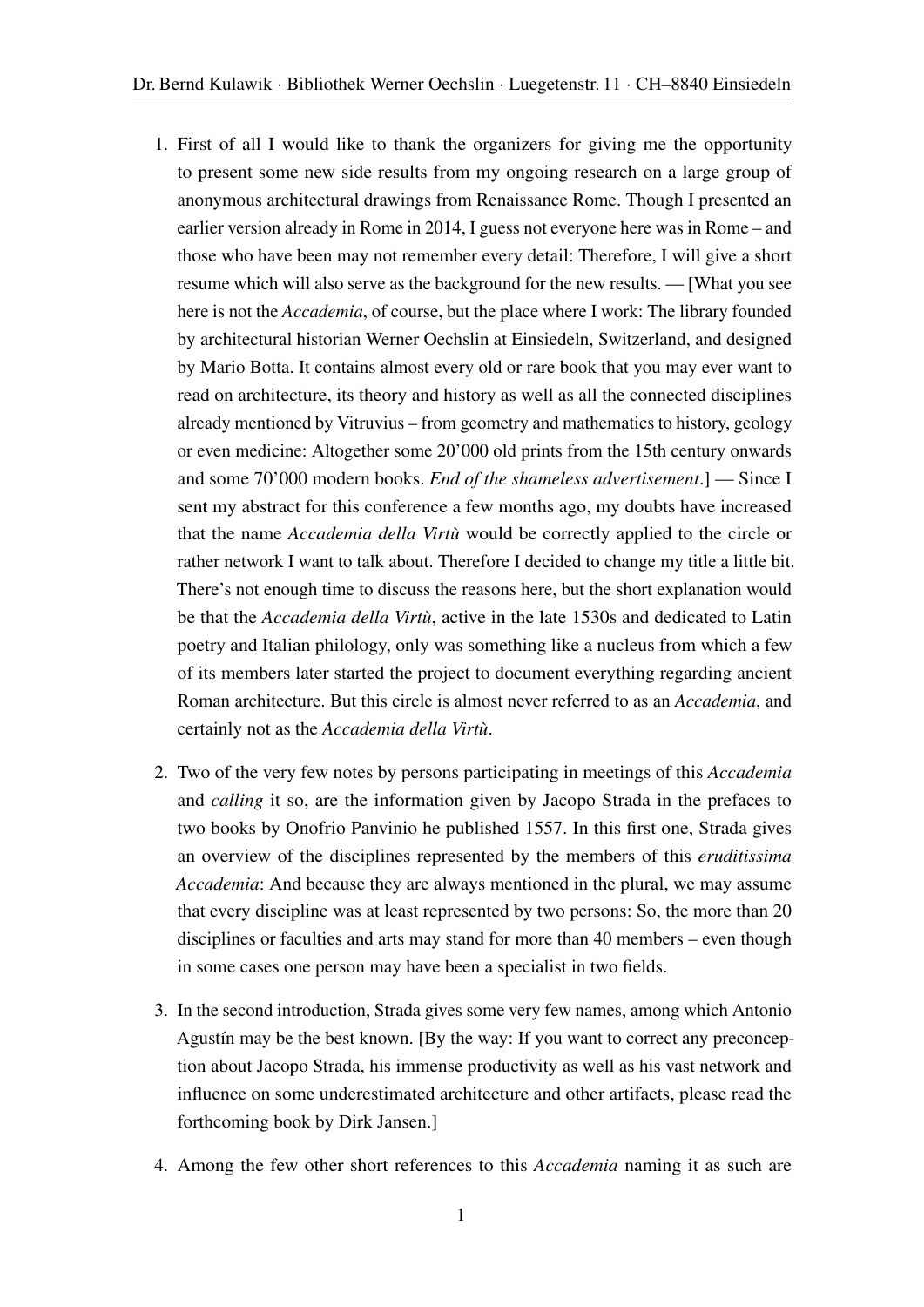- 1. First of all I would like to thank the organizers for giving me the opportunity to present some new side results from my ongoing research on a large group of anonymous architectural drawings from Renaissance Rome. Though I presented an earlier version already in Rome in 2014, I guess not everyone here was in Rome – and those who have been may not remember every detail: Therefore, I will give a short resume which will also serve as the background for the new results. — [What you see here is not the *Accademia*, of course, but the place where I work: The library founded by architectural historian Werner Oechslin at Einsiedeln, Switzerland, and designed by Mario Botta. It contains almost every old or rare book that you may ever want to read on architecture, its theory and history as well as all the connected disciplines already mentioned by Vitruvius – from geometry and mathematics to history, geology or even medicine: Altogether some 20'000 old prints from the 15th century onwards and some 70'000 modern books. *End of the shameless advertisement*.] — Since I sent my abstract for this conference a few months ago, my doubts have increased that the name *Accademia della Virtù* would be correctly applied to the circle or rather network I want to talk about. Therefore I decided to change my title a little bit. There's not enough time to discuss the reasons here, but the short explanation would be that the *Accademia della Virtù*, active in the late 1530s and dedicated to Latin poetry and Italian philology, only was something like a nucleus from which a few of its members later started the project to document everything regarding ancient Roman architecture. But this circle is almost never referred to as an *Accademia*, and certainly not as the *Accademia della Virtù*.
- 2. Two of the very few notes by persons participating in meetings of this *Accademia* and *calling* it so, are the information given by Jacopo Strada in the prefaces to two books by Onofrio Panvinio he published 1557. In this first one, Strada gives an overview of the disciplines represented by the members of this *eruditissima Accademia*: And because they are always mentioned in the plural, we may assume that every discipline was at least represented by two persons: So, the more than 20 disciplines or faculties and arts may stand for more than 40 members – even though in some cases one person may have been a specialist in two fields.
- 3. In the second introduction, Strada gives some very few names, among which Antonio Agustín may be the best known. [By the way: If you want to correct any preconception about Jacopo Strada, his immense productivity as well as his vast network and influence on some underestimated architecture and other artifacts, please read the forthcoming book by Dirk Jansen.]
- 4. Among the few other short references to this *Accademia* naming it as such are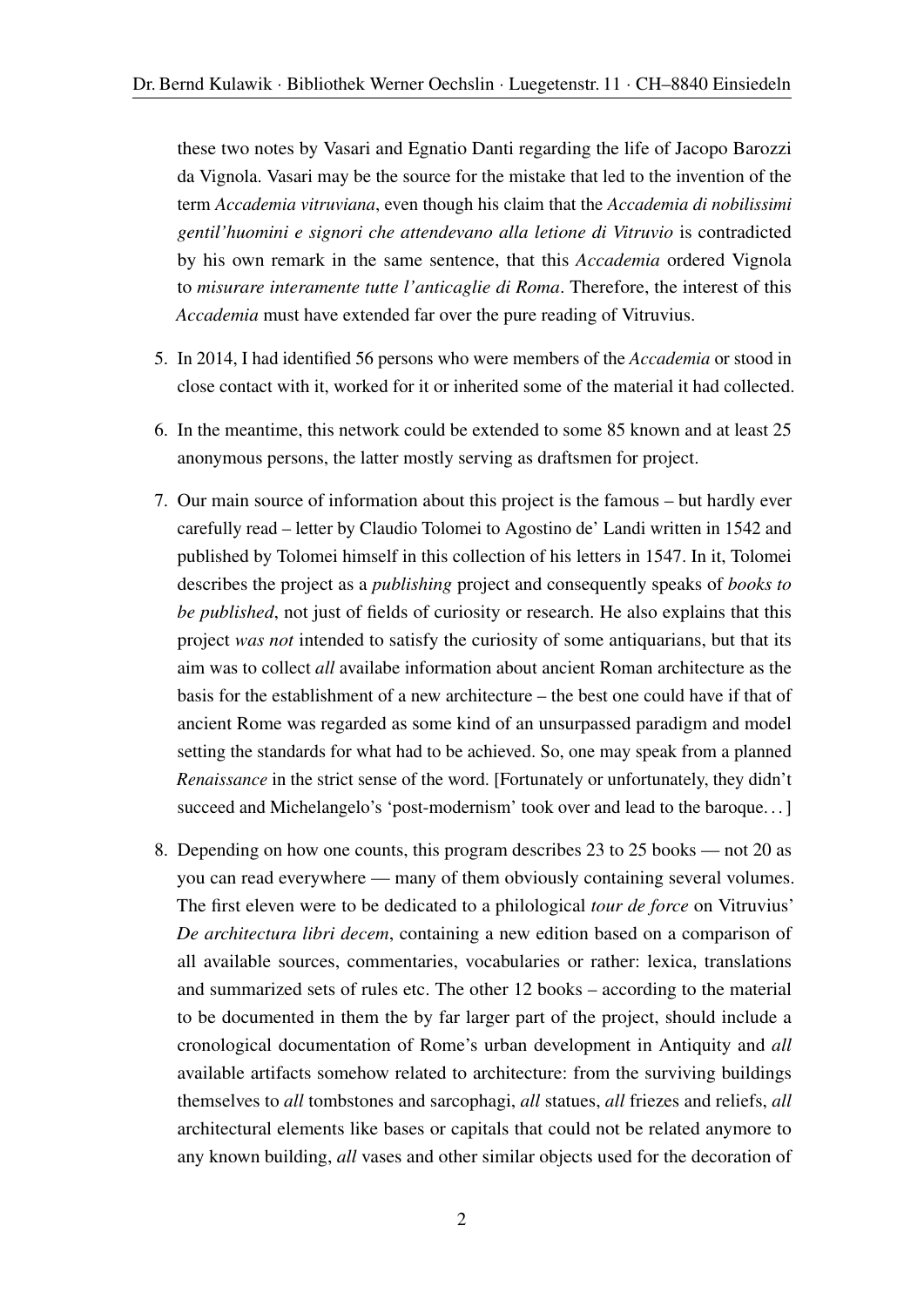these two notes by Vasari and Egnatio Danti regarding the life of Jacopo Barozzi da Vignola. Vasari may be the source for the mistake that led to the invention of the term *Accademia vitruviana*, even though his claim that the *Accademia di nobilissimi gentil'huomini e signori che attendevano alla letione di Vitruvio* is contradicted by his own remark in the same sentence, that this *Accademia* ordered Vignola to *misurare interamente tutte l'anticaglie di Roma*. Therefore, the interest of this *Accademia* must have extended far over the pure reading of Vitruvius.

- 5. In 2014, I had identified 56 persons who were members of the *Accademia* or stood in close contact with it, worked for it or inherited some of the material it had collected.
- 6. In the meantime, this network could be extended to some 85 known and at least 25 anonymous persons, the latter mostly serving as draftsmen for project.
- 7. Our main source of information about this project is the famous but hardly ever carefully read – letter by Claudio Tolomei to Agostino de' Landi written in 1542 and published by Tolomei himself in this collection of his letters in 1547. In it, Tolomei describes the project as a *publishing* project and consequently speaks of *books to be published*, not just of fields of curiosity or research. He also explains that this project *was not* intended to satisfy the curiosity of some antiquarians, but that its aim was to collect *all* availabe information about ancient Roman architecture as the basis for the establishment of a new architecture – the best one could have if that of ancient Rome was regarded as some kind of an unsurpassed paradigm and model setting the standards for what had to be achieved. So, one may speak from a planned *Renaissance* in the strict sense of the word. [Fortunately or unfortunately, they didn't succeed and Michelangelo's 'post-modernism' took over and lead to the baroque. . . ]
- 8. Depending on how one counts, this program describes 23 to 25 books not 20 as you can read everywhere — many of them obviously containing several volumes. The first eleven were to be dedicated to a philological *tour de force* on Vitruvius' *De architectura libri decem*, containing a new edition based on a comparison of all available sources, commentaries, vocabularies or rather: lexica, translations and summarized sets of rules etc. The other 12 books – according to the material to be documented in them the by far larger part of the project, should include a cronological documentation of Rome's urban development in Antiquity and *all* available artifacts somehow related to architecture: from the surviving buildings themselves to *all* tombstones and sarcophagi, *all* statues, *all* friezes and reliefs, *all* architectural elements like bases or capitals that could not be related anymore to any known building, *all* vases and other similar objects used for the decoration of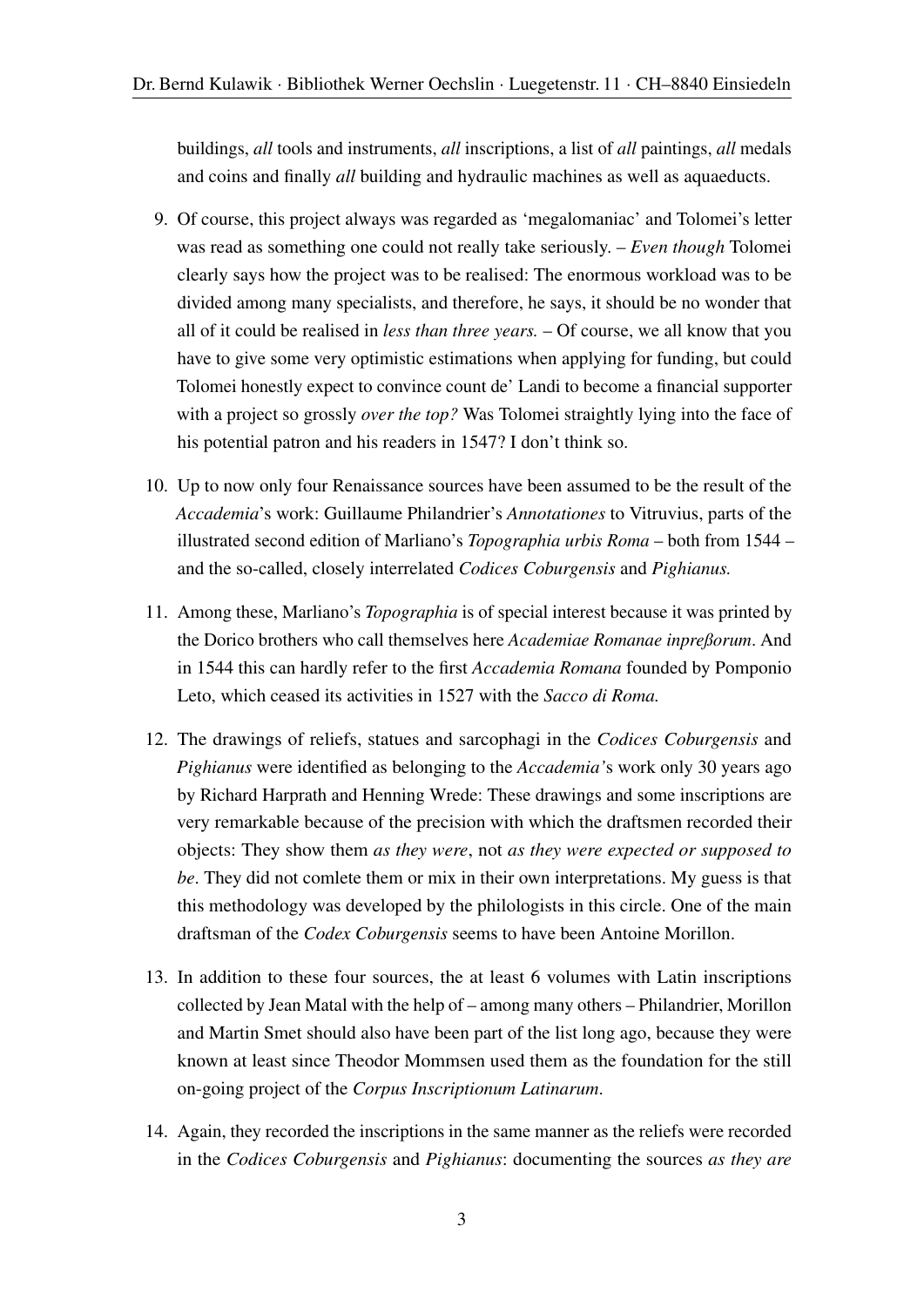buildings, *all* tools and instruments, *all* inscriptions, a list of *all* paintings, *all* medals and coins and finally *all* building and hydraulic machines as well as aquaeducts.

- 9. Of course, this project always was regarded as 'megalomaniac' and Tolomei's letter was read as something one could not really take seriously. – *Even though* Tolomei clearly says how the project was to be realised: The enormous workload was to be divided among many specialists, and therefore, he says, it should be no wonder that all of it could be realised in *less than three years.* – Of course, we all know that you have to give some very optimistic estimations when applying for funding, but could Tolomei honestly expect to convince count de' Landi to become a financial supporter with a project so grossly *over the top?* Was Tolomei straightly lying into the face of his potential patron and his readers in 1547? I don't think so.
- 10. Up to now only four Renaissance sources have been assumed to be the result of the *Accademia*'s work: Guillaume Philandrier's *Annotationes* to Vitruvius, parts of the illustrated second edition of Marliano's *Topographia urbis Roma* – both from 1544 – and the so-called, closely interrelated *Codices Coburgensis* and *Pighianus.*
- 11. Among these, Marliano's *Topographia* is of special interest because it was printed by the Dorico brothers who call themselves here *Academiae Romanae inpreßorum*. And in 1544 this can hardly refer to the first *Accademia Romana* founded by Pomponio Leto, which ceased its activities in 1527 with the *Sacco di Roma.*
- 12. The drawings of reliefs, statues and sarcophagi in the *Codices Coburgensis* and *Pighianus* were identified as belonging to the *Accademia'*s work only 30 years ago by Richard Harprath and Henning Wrede: These drawings and some inscriptions are very remarkable because of the precision with which the draftsmen recorded their objects: They show them *as they were*, not *as they were expected or supposed to be*. They did not comlete them or mix in their own interpretations. My guess is that this methodology was developed by the philologists in this circle. One of the main draftsman of the *Codex Coburgensis* seems to have been Antoine Morillon.
- 13. In addition to these four sources, the at least 6 volumes with Latin inscriptions collected by Jean Matal with the help of – among many others – Philandrier, Morillon and Martin Smet should also have been part of the list long ago, because they were known at least since Theodor Mommsen used them as the foundation for the still on-going project of the *Corpus Inscriptionum Latinarum*.
- 14. Again, they recorded the inscriptions in the same manner as the reliefs were recorded in the *Codices Coburgensis* and *Pighianus*: documenting the sources *as they are*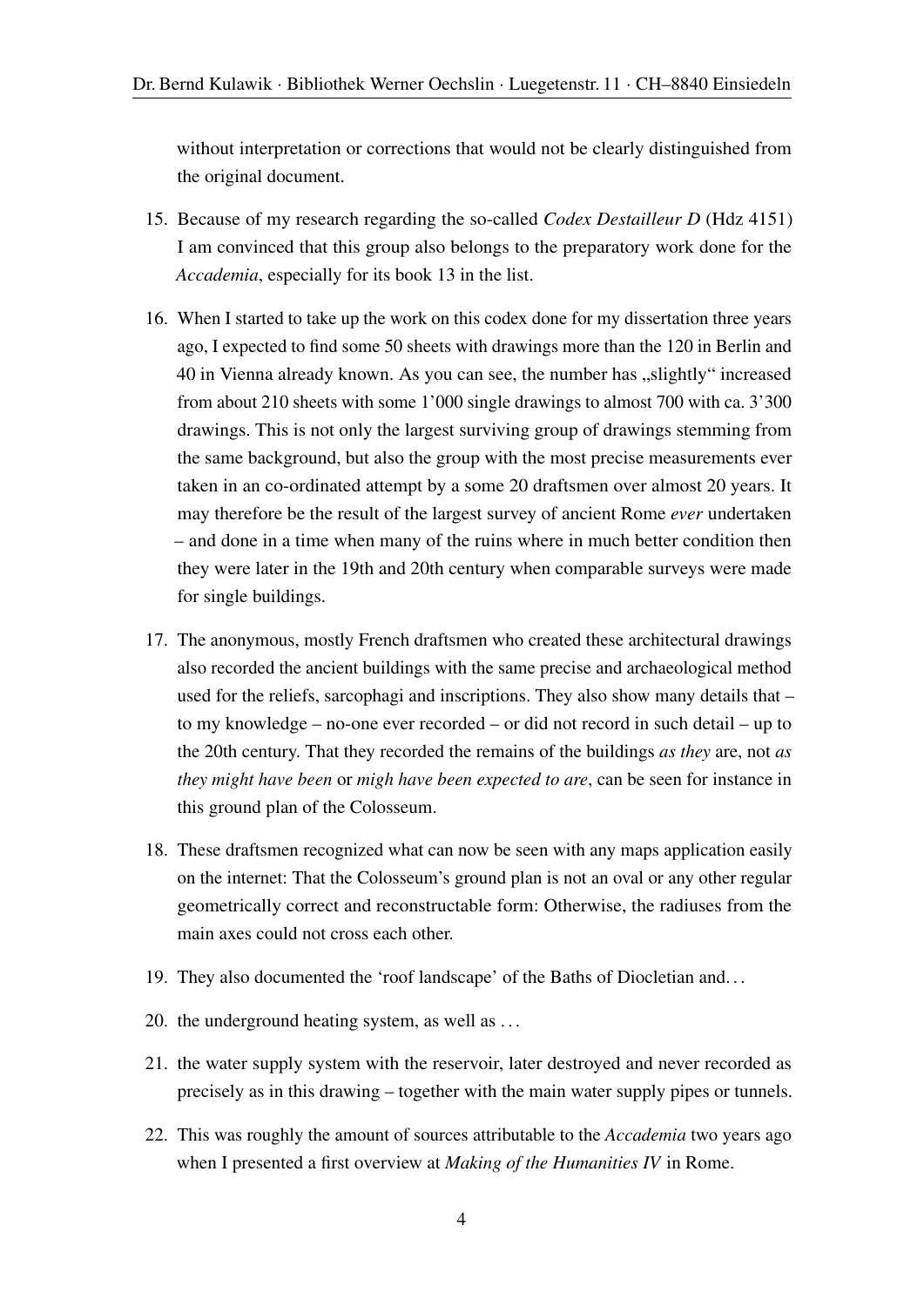without interpretation or corrections that would not be clearly distinguished from the original document.

- 15. Because of my research regarding the so-called *Codex Destailleur D* (Hdz 4151) I am convinced that this group also belongs to the preparatory work done for the *Accademia*, especially for its book 13 in the list.
- 16. When I started to take up the work on this codex done for my dissertation three years ago, I expected to find some 50 sheets with drawings more than the 120 in Berlin and 40 in Vienna already known. As you can see, the number has "slightly" increased from about 210 sheets with some 1'000 single drawings to almost 700 with ca. 3'300 drawings. This is not only the largest surviving group of drawings stemming from the same background, but also the group with the most precise measurements ever taken in an co-ordinated attempt by a some 20 draftsmen over almost 20 years. It may therefore be the result of the largest survey of ancient Rome *ever* undertaken – and done in a time when many of the ruins where in much better condition then they were later in the 19th and 20th century when comparable surveys were made for single buildings.
- 17. The anonymous, mostly French draftsmen who created these architectural drawings also recorded the ancient buildings with the same precise and archaeological method used for the reliefs, sarcophagi and inscriptions. They also show many details that – to my knowledge – no-one ever recorded – or did not record in such detail – up to the 20th century. That they recorded the remains of the buildings *as they* are, not *as they might have been* or *migh have been expected to are*, can be seen for instance in this ground plan of the Colosseum.
- 18. These draftsmen recognized what can now be seen with any maps application easily on the internet: That the Colosseum's ground plan is not an oval or any other regular geometrically correct and reconstructable form: Otherwise, the radiuses from the main axes could not cross each other.
- 19. They also documented the 'roof landscape' of the Baths of Diocletian and. . .
- 20. the underground heating system, as well as . . .
- 21. the water supply system with the reservoir, later destroyed and never recorded as precisely as in this drawing – together with the main water supply pipes or tunnels.
- 22. This was roughly the amount of sources attributable to the *Accademia* two years ago when I presented a first overview at *Making of the Humanities IV* in Rome.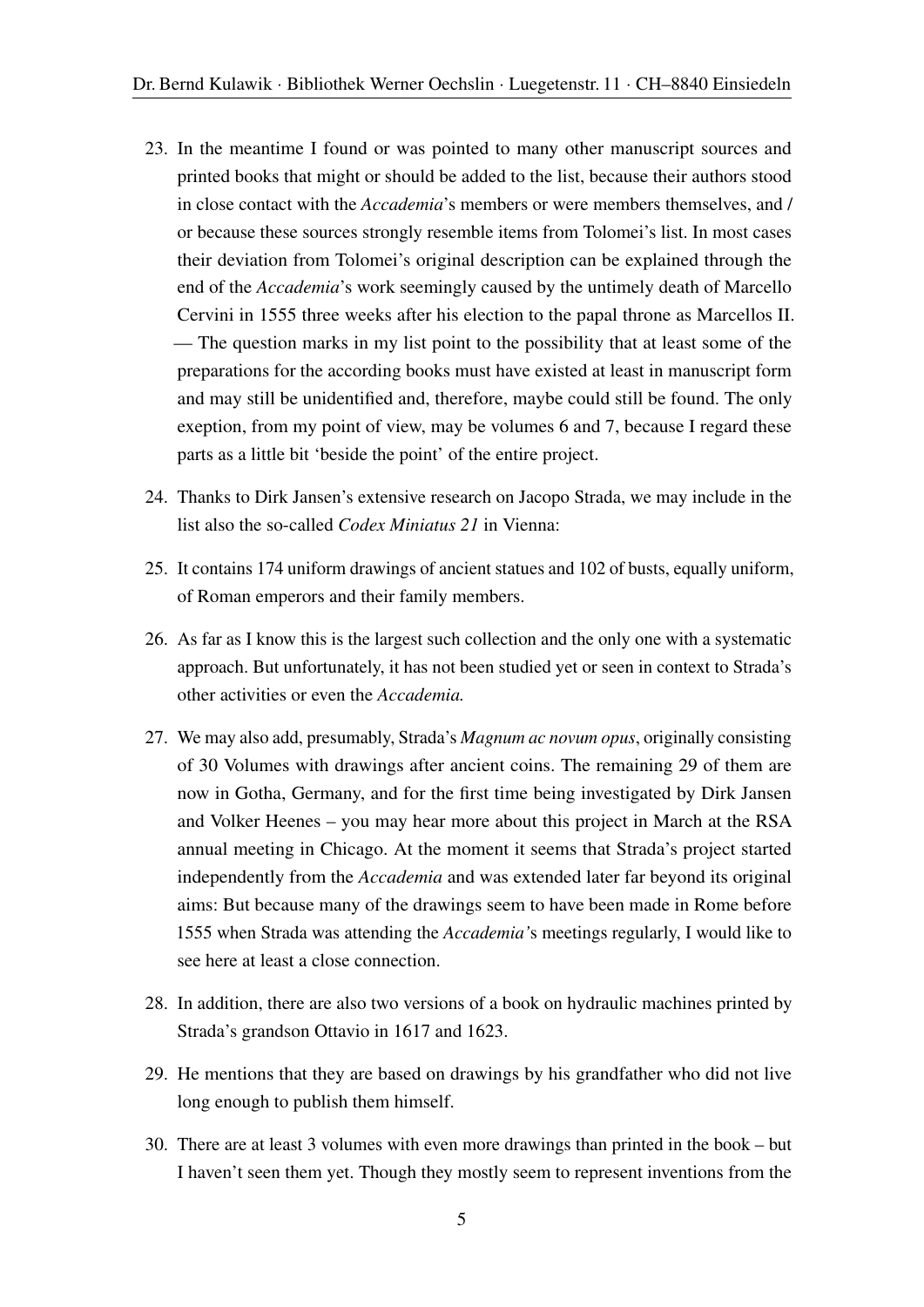- 23. In the meantime I found or was pointed to many other manuscript sources and printed books that might or should be added to the list, because their authors stood in close contact with the *Accademia*'s members or were members themselves, and / or because these sources strongly resemble items from Tolomei's list. In most cases their deviation from Tolomei's original description can be explained through the end of the *Accademia*'s work seemingly caused by the untimely death of Marcello Cervini in 1555 three weeks after his election to the papal throne as Marcellos II. — The question marks in my list point to the possibility that at least some of the preparations for the according books must have existed at least in manuscript form and may still be unidentified and, therefore, maybe could still be found. The only exeption, from my point of view, may be volumes 6 and 7, because I regard these parts as a little bit 'beside the point' of the entire project.
- 24. Thanks to Dirk Jansen's extensive research on Jacopo Strada, we may include in the list also the so-called *Codex Miniatus 21* in Vienna:
- 25. It contains 174 uniform drawings of ancient statues and 102 of busts, equally uniform, of Roman emperors and their family members.
- 26. As far as I know this is the largest such collection and the only one with a systematic approach. But unfortunately, it has not been studied yet or seen in context to Strada's other activities or even the *Accademia.*
- 27. We may also add, presumably, Strada's *Magnum ac novum opus*, originally consisting of 30 Volumes with drawings after ancient coins. The remaining 29 of them are now in Gotha, Germany, and for the first time being investigated by Dirk Jansen and Volker Heenes – you may hear more about this project in March at the RSA annual meeting in Chicago. At the moment it seems that Strada's project started independently from the *Accademia* and was extended later far beyond its original aims: But because many of the drawings seem to have been made in Rome before 1555 when Strada was attending the *Accademia'*s meetings regularly, I would like to see here at least a close connection.
- 28. In addition, there are also two versions of a book on hydraulic machines printed by Strada's grandson Ottavio in 1617 and 1623.
- 29. He mentions that they are based on drawings by his grandfather who did not live long enough to publish them himself.
- 30. There are at least 3 volumes with even more drawings than printed in the book but I haven't seen them yet. Though they mostly seem to represent inventions from the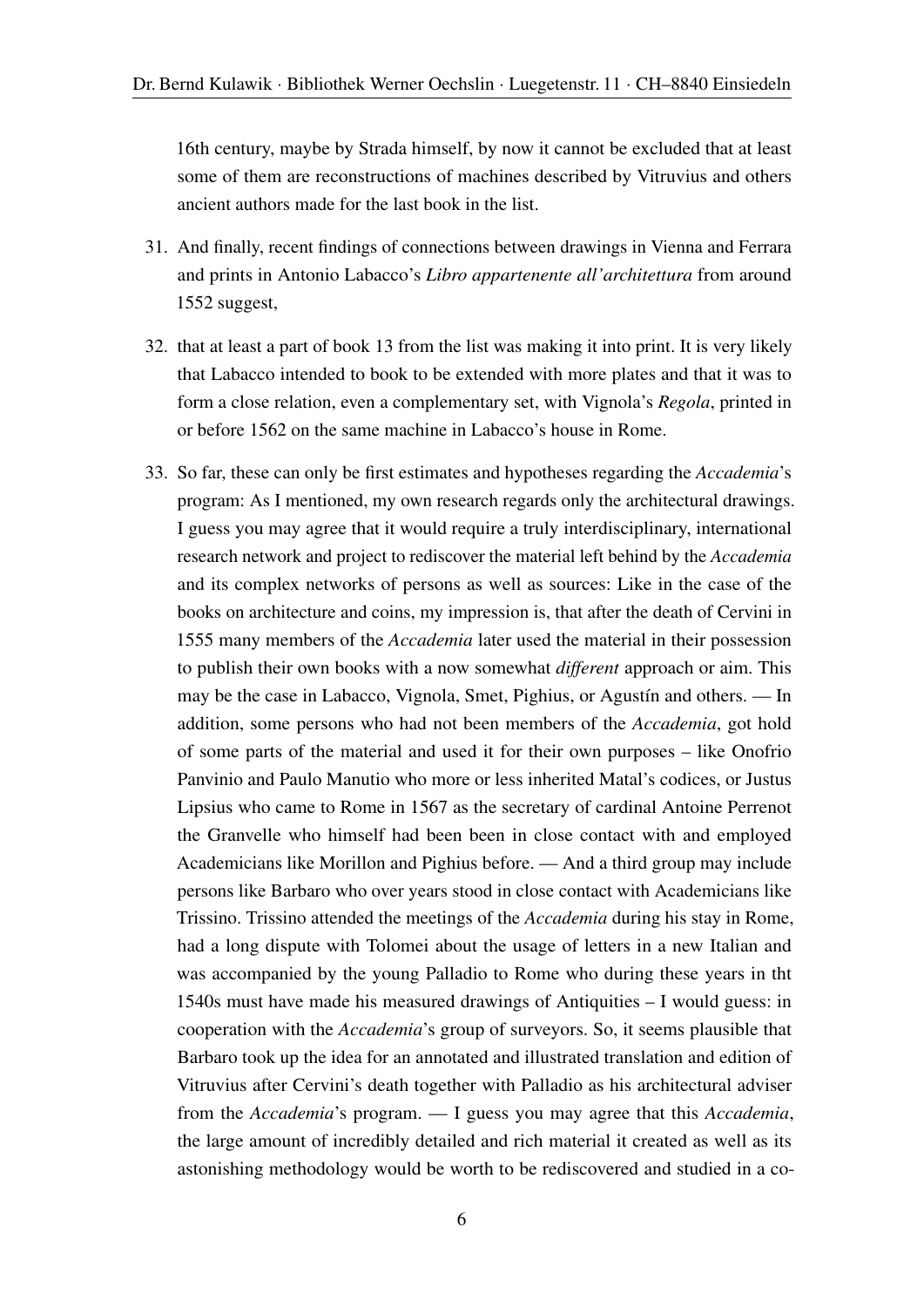16th century, maybe by Strada himself, by now it cannot be excluded that at least some of them are reconstructions of machines described by Vitruvius and others ancient authors made for the last book in the list.

- 31. And finally, recent findings of connections between drawings in Vienna and Ferrara and prints in Antonio Labacco's *Libro appartenente all'architettura* from around 1552 suggest,
- 32. that at least a part of book 13 from the list was making it into print. It is very likely that Labacco intended to book to be extended with more plates and that it was to form a close relation, even a complementary set, with Vignola's *Regola*, printed in or before 1562 on the same machine in Labacco's house in Rome.
- 33. So far, these can only be first estimates and hypotheses regarding the *Accademia*'s program: As I mentioned, my own research regards only the architectural drawings. I guess you may agree that it would require a truly interdisciplinary, international research network and project to rediscover the material left behind by the *Accademia* and its complex networks of persons as well as sources: Like in the case of the books on architecture and coins, my impression is, that after the death of Cervini in 1555 many members of the *Accademia* later used the material in their possession to publish their own books with a now somewhat *different* approach or aim. This may be the case in Labacco, Vignola, Smet, Pighius, or Agustín and others. — In addition, some persons who had not been members of the *Accademia*, got hold of some parts of the material and used it for their own purposes – like Onofrio Panvinio and Paulo Manutio who more or less inherited Matal's codices, or Justus Lipsius who came to Rome in 1567 as the secretary of cardinal Antoine Perrenot the Granvelle who himself had been been in close contact with and employed Academicians like Morillon and Pighius before. — And a third group may include persons like Barbaro who over years stood in close contact with Academicians like Trissino. Trissino attended the meetings of the *Accademia* during his stay in Rome, had a long dispute with Tolomei about the usage of letters in a new Italian and was accompanied by the young Palladio to Rome who during these years in tht 1540s must have made his measured drawings of Antiquities – I would guess: in cooperation with the *Accademia*'s group of surveyors. So, it seems plausible that Barbaro took up the idea for an annotated and illustrated translation and edition of Vitruvius after Cervini's death together with Palladio as his architectural adviser from the *Accademia*'s program. — I guess you may agree that this *Accademia*, the large amount of incredibly detailed and rich material it created as well as its astonishing methodology would be worth to be rediscovered and studied in a co-